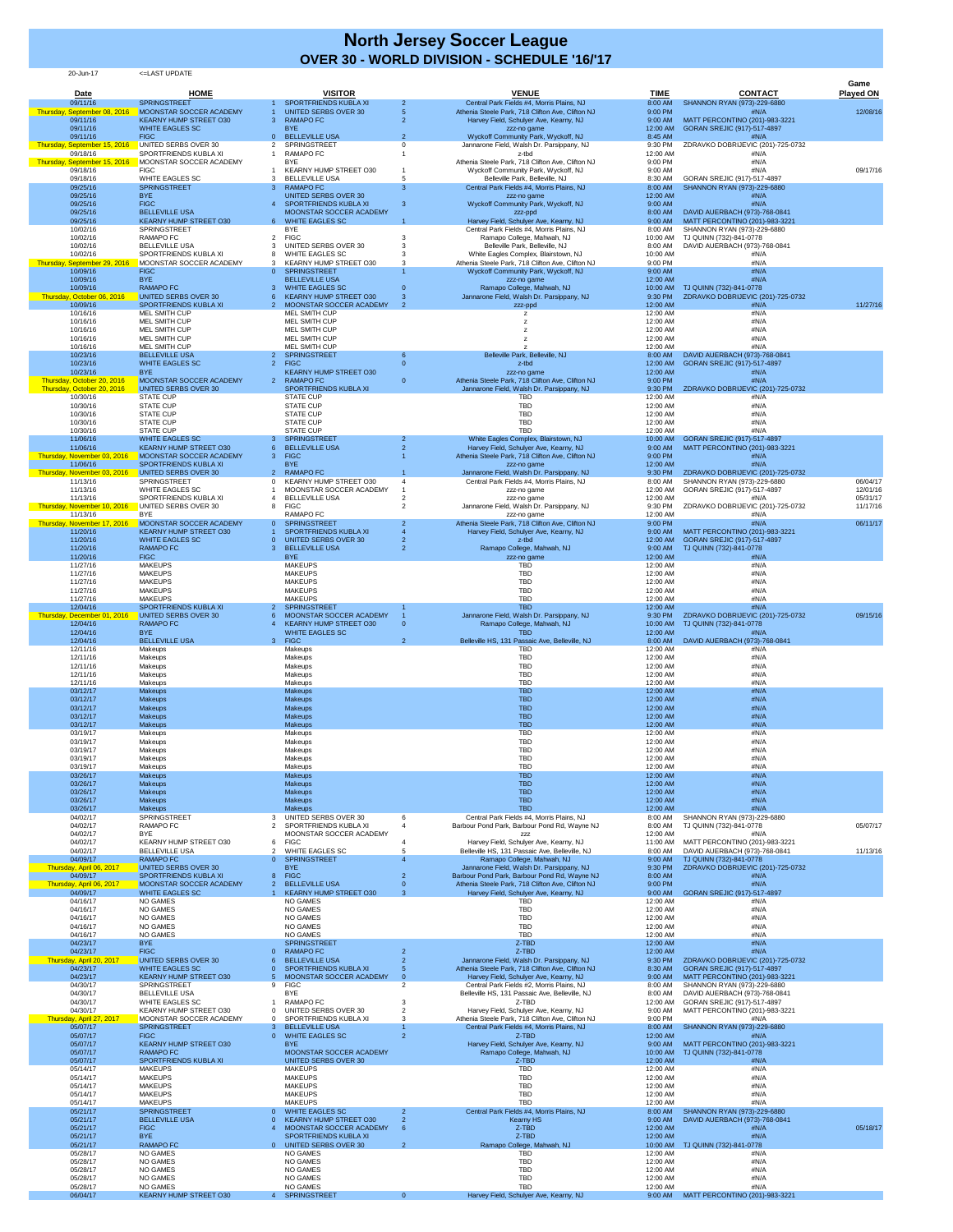20-Jun-17 <=LAST UPDATE

| <b>Date</b>                              | <b>HOME</b>                                              | <b>VISITOR</b>                                                                  | <b>VENUE</b>                                                                                     | <b>TIME</b>           | <b>CONTACT</b>                                                | Game<br><b>Played ON</b> |
|------------------------------------------|----------------------------------------------------------|---------------------------------------------------------------------------------|--------------------------------------------------------------------------------------------------|-----------------------|---------------------------------------------------------------|--------------------------|
| 09/11/16                                 | <b>SPRINGSTREET</b>                                      | <b>SPORTFRIENDS KUBLA XI</b>                                                    | Central Park Fields #4, Morris Plains, NJ                                                        | 8:00 AM               | SHANNON RYAN (973)-229-6880                                   |                          |
| Thursday, September 08, 2016<br>09/11/16 | MOONSTAR SOCCER ACADEMY<br><b>KEARNY HUMP STREET O30</b> | <b>UNITED SERBS OVER 30</b><br><b>RAMAPO FC</b><br>3                            | Athenia Steele Park, 718 Clifton Ave, Clifton NJ<br>5<br>Harvey Field, Schulyer Ave, Kearny, NJ  | 9:00 PM<br>9:00 AM    | #N/A<br>MATT PERCONTINO (201)-983-3221                        | 12/08/16                 |
| 09/11/16<br>09/11/16                     | <b>WHITE EAGLES SC</b><br><b>FIGC</b>                    | <b>BYE</b><br><b>BELLEVILLE USA</b><br>$\Omega$                                 | zzz-no game<br>Wyckoff Community Park, Wyckoff, NJ<br>$\overline{2}$                             | 12:00 AM<br>8:45 AM   | GORAN SREJIC (917)-517-4897<br>#N/A                           |                          |
| Thursday, September 15, 2016<br>09/18/16 | UNITED SERBS OVER 30<br>SPORTFRIENDS KUBLA XI            | <b>SPRINGSTREET</b><br>2<br><b>RAMAPO FC</b>                                    | Jannarone Field, Walsh Dr. Parsippany, NJ<br>z-tbd                                               | 9:30 PM<br>12:00 AM   | ZDRAVKO DOBRIJEVIC (201)-725-0732<br>#N/A                     |                          |
| Thursday, September 15, 2016<br>09/18/16 | MOONSTAR SOCCER ACADEMY<br><b>FIGC</b>                   | <b>BYE</b><br>KEARNY HUMP STREET O30                                            | Athenia Steele Park, 718 Clifton Ave, Clifton NJ<br>Wyckoff Community Park, Wyckoff, NJ          | 9:00 PM<br>9:00 AM    | #N/A<br>#N/A                                                  | 09/17/16                 |
| 09/18/16                                 | <b>WHITE EAGLES SC</b>                                   | <b>BELLEVILLE USA</b>                                                           | Belleville Park, Belleville, NJ<br>5                                                             | 8:30 AM               | GORAN SREJIC (917)-517-4897                                   |                          |
| 09/25/16<br>09/25/16                     | <b>SPRINGSTREET</b><br><b>BYE</b>                        | <b>RAMAPO FC</b><br>3<br><b>UNITED SERBS OVER 30</b>                            | -3<br>Central Park Fields #4, Morris Plains, NJ<br>zzz-no game                                   | 8:00 AM<br>12:00 AM   | SHANNON RYAN (973)-229-6880<br>#N/A                           |                          |
| 09/25/16<br>09/25/16                     | <b>FIGC</b><br><b>BELLEVILLE USA</b>                     | SPORTFRIENDS KUBLA XI<br>MOONSTAR SOCCER ACADEMY                                | Wyckoff Community Park, Wyckoff, NJ<br>-3<br>zzz-ppd                                             | 9:00 AM<br>8:00 AM    | #N/A<br>DAVID AUERBACH (973)-768-0841                         |                          |
| 09/25/16<br>10/02/16                     | <b>KEARNY HUMP STREET O30</b><br><b>SPRINGSTREET</b>     | 6 WHITE EAGLES SC<br><b>BYE</b>                                                 | Harvey Field, Schulyer Ave, Kearny, NJ<br>Central Park Fields #4, Morris Plains, NJ              | 9:00 AM<br>8:00 AM    | MATT PERCONTINO (201)-983-3221<br>SHANNON RYAN (973)-229-6880 |                          |
| 10/02/16<br>10/02/16                     | <b>RAMAPO FC</b><br><b>BELLEVILLE USA</b>                | <b>FIGC</b><br>2<br><b>UNITED SERBS OVER 30</b>                                 | Ramapo College, Mahwah, NJ<br>Belleville Park, Belleville, NJ                                    | 10:00 AM<br>8:00 AM   | TJ QUINN (732)-841-0778<br>DAVID AUERBACH (973)-768-0841      |                          |
| 10/02/16<br>Thursday, September 29, 2016 | SPORTFRIENDS KUBLA XI<br>MOONSTAR SOCCER ACADEMY         | <b>WHITE EAGLES SC</b><br><b>KEARNY HUMP STREET O30</b>                         | White Eagles Complex, Blairstown, NJ<br>Athenia Steele Park, 718 Clifton Ave, Clifton NJ         | 10:00 AM<br>9:00 PM   | #N/A<br>#N/A                                                  |                          |
| 10/09/16                                 | <b>FIGC</b>                                              | <b>SPRINGSTREET</b><br>$\Omega$                                                 | Wyckoff Community Park, Wyckoff, NJ                                                              | 9:00 AM               | #N/A                                                          |                          |
| 10/09/16<br>10/09/16                     | <b>BYE</b><br><b>RAMAPO FC</b>                           | <b>BELLEVILLE USA</b><br><b>WHITE EAGLES SC</b>                                 | zzz-no game<br>Ramapo College, Mahwah, NJ                                                        | 12:00 AM<br>10:00 AM  | #N/A<br>TJ QUINN (732)-841-0778                               |                          |
| Thursday, October 06, 2016<br>10/09/16   | UNITED SERBS OVER 30<br>SPORTFRIENDS KUBLA XI            | <b>KEARNY HUMP STREET O30</b><br>MOONSTAR SOCCER ACADEMY<br>$\mathcal{P}$<br>-2 | Jannarone Field, Walsh Dr. Parsippany, NJ<br>zzz-ppd                                             | 9:30 PM<br>12:00 AM   | ZDRAVKO DOBRIJEVIC (201)-725-0732<br>#N/A                     | 11/27/16                 |
| 10/16/16<br>10/16/16                     | MEL SMITH CUP<br>MEL SMITH CUP                           | <b>MEL SMITH CUP</b><br><b>MEL SMITH CUP</b>                                    |                                                                                                  | 12:00 AM<br>12:00 AM  | #N/A<br>#N/A                                                  |                          |
| 10/16/16<br>10/16/16                     | <b>MEL SMITH CUP</b><br><b>MEL SMITH CUP</b>             | <b>MEL SMITH CUP</b><br><b>MEL SMITH CUP</b>                                    |                                                                                                  | 12:00 AM<br>12:00 AM  | #N/A<br>#N/A                                                  |                          |
| 10/16/16                                 | <b>MEL SMITH CUP</b>                                     | <b>MEL SMITH CUP</b>                                                            |                                                                                                  | 12:00 AM              | #N/A                                                          |                          |
| 10/23/16<br>10/23/16                     | <b>BELLEVILLE USA</b><br><b>WHITE EAGLES SC</b>          | SPRINGSTREET<br>2 <sup>2</sup><br><b>FIGC</b><br>2                              | Belleville Park, Belleville, NJ<br>z-tbd                                                         | 8:00 AM<br>12:00 AM   | DAVID AUERBACH (973)-768-0841<br>GORAN SREJIC (917)-517-4897  |                          |
| 10/23/16<br>Thursday, October 20, 2016   | <b>BYE</b><br>MOONSTAR SOCCER ACADEMY                    | <b>KEARNY HUMP STREET O30</b><br><b>RAMAPO FC</b>                               | zzz-no game<br>Athenia Steele Park, 718 Clifton Ave, Clifton NJ                                  | 12:00 AM<br>9:00 PM   | #N/A<br>#N/A                                                  |                          |
| Thursday, October 20, 2016<br>10/30/16   | UNITED SERBS OVER 30<br><b>STATE CUP</b>                 | SPORTFRIENDS KUBLA XI<br><b>STATE CUP</b>                                       | Jannarone Field, Walsh Dr. Parsippany, NJ<br><b>TBD</b>                                          | 9:30 PM<br>12:00 AM   | ZDRAVKO DOBRIJEVIC (201)-725-0732<br>#N/A                     |                          |
| 10/30/16<br>10/30/16                     | <b>STATE CUP</b><br><b>STATE CUP</b>                     | <b>STATE CUP</b><br><b>STATE CUP</b>                                            | <b>TBD</b><br><b>TBD</b>                                                                         | 12:00 AM<br>12:00 AM  | #N/A<br>#N/A                                                  |                          |
| 10/30/16                                 | <b>STATE CUP</b>                                         | <b>STATE CUP</b>                                                                | <b>TBD</b>                                                                                       | 12:00 AM              | #N/A                                                          |                          |
| 10/30/16<br>11/06/16                     | <b>STATE CUP</b><br><b>WHITE EAGLES SC</b>               | <b>STATE CUP</b><br><b>SPRINGSTREET</b><br>3                                    | <b>TBD</b><br>White Eagles Complex, Blairstown, NJ                                               | 12:00 AM<br>10:00 AM  | #N/A<br>GORAN SREJIC (917)-517-4897                           |                          |
| 11/06/16<br>Thursday, November 03, 2016  | <b>KEARNY HUMP STREET O30</b><br>MOONSTAR SOCCER ACADEMY | <b>BELLEVILLE USA</b><br><b>FIGC</b><br>3                                       | Harvey Field, Schulyer Ave, Kearny, NJ<br>Athenia Steele Park, 718 Clifton Ave, Clifton NJ       | 9:00 AM<br>9:00 PM    | MATT PERCONTINO (201)-983-3221<br>#N/A                        |                          |
| 11/06/16<br>Thursday, November 03, 2016  | <b>SPORTFRIENDS KUBLA XI</b><br>UNITED SERBS OVER 30     | <b>BYE</b><br><b>RAMAPO FC</b><br>2 <sup>1</sup>                                | zzz-no game<br>Jannarone Field, Walsh Dr. Parsippany, NJ                                         | 12:00 AM<br>9:30 PM   | #N/A<br>ZDRAVKO DOBRIJEVIC (201)-725-0732                     |                          |
| 11/13/16                                 | SPRINGSTREET                                             | <b>KEARNY HUMP STREET O30</b><br>$\Omega$                                       | Central Park Fields #4, Morris Plains, NJ                                                        | 8:00 AM               | SHANNON RYAN (973)-229-6880                                   | 06/04/17                 |
| 11/13/16<br>11/13/16                     | WHITE EAGLES SC<br>SPORTFRIENDS KUBLA XI                 | MOONSTAR SOCCER ACADEMY<br><b>BELLEVILLE USA</b>                                | zzz-no game<br>zzz-no game                                                                       | 12:00 AM<br>12:00 AM  | GORAN SREJIC (917)-517-4897<br>#N/A                           | 12/01/16<br>05/31/17     |
| Thursday, November 10, 2016<br>11/13/16  | UNITED SERBS OVER 30<br><b>BYE</b>                       | <b>FIGC</b><br>8<br><b>RAMAPO FC</b>                                            | Jannarone Field, Walsh Dr. Parsippany, NJ<br>zzz-no game                                         | 9:30 PM<br>12:00 AM   | ZDRAVKO DOBRIJEVIC (201)-725-0732<br>#N/A                     | 11/17/16                 |
| Thursday, November 17, 2016<br>11/20/16  | MOONSTAR SOCCER ACADEMY<br><b>KEARNY HUMP STREET O30</b> | <b>SPRINGSTREET</b><br>$\overline{0}$<br>SPORTFRIENDS KUBLA XI                  | Athenia Steele Park, 718 Clifton Ave, Clifton NJ<br>Harvey Field, Schulyer Ave, Kearny, NJ       | 9:00 PM<br>9:00 AM    | #N/A<br>MATT PERCONTINO (201)-983-3221                        | 06/11/17                 |
| 11/20/16                                 | <b>WHITE EAGLES SC</b>                                   | <b>UNITED SERBS OVER 30</b>                                                     | z-tbd                                                                                            | 12:00 AM              | GORAN SREJIC (917)-517-4897                                   |                          |
| 11/20/16<br>11/20/16                     | <b>RAMAPO FC</b><br><b>FIGC</b>                          | <b>BELLEVILLE USA</b><br>3.<br><b>BYE</b>                                       | Ramapo College, Mahwah, NJ<br>zzz-no game                                                        | 9:00 AM<br>12:00 AM   | TJ QUINN (732)-841-0778<br>#N/A                               |                          |
| 11/27/16<br>11/27/16                     | <b>MAKEUPS</b><br><b>MAKEUPS</b>                         | <b>MAKEUPS</b><br><b>MAKEUPS</b>                                                | <b>TBD</b><br><b>TBD</b>                                                                         | 12:00 AM<br>12:00 AM  | #N/A<br>#N/A                                                  |                          |
| 11/27/16<br>11/27/16                     | <b>MAKEUPS</b><br><b>MAKEUPS</b>                         | <b>MAKEUPS</b><br><b>MAKEUPS</b>                                                | <b>TBD</b><br><b>TBD</b>                                                                         | 12:00 AM<br>12:00 AM  | #N/A<br>#N/A                                                  |                          |
| 11/27/16                                 | <b>MAKEUPS</b><br><b>SPORTFRIENDS KUBLA XI</b>           | <b>MAKEUPS</b><br><b>SPRINGSTREET</b>                                           | <b>TBD</b><br><b>TBD</b>                                                                         | 12:00 AM              | #N/A                                                          |                          |
| 12/04/16<br>Thursday, December 01, 2016  | UNITED SERBS OVER 30                                     | MOONSTAR SOCCER ACADEMY                                                         | Jannarone Field, Walsh Dr. Parsippany, NJ                                                        | 12:00 AM<br>$9:30$ PM | #N/A<br>ZDRAVKO DOBRIJEVIC (201)-725-0732                     | 09/15/16                 |
| 12/04/16<br>12/04/16                     | <b>RAMAPO FC</b><br><b>BYE</b>                           | <b>KEARNY HUMP STREET O30</b><br><b>WHITE EAGLES SC</b>                         | Ramapo College, Mahwah, NJ<br>$\Omega$<br><b>TBD</b>                                             | 10:00 AM<br>12:00 AM  | TJ QUINN (732)-841-0778<br>#N/A                               |                          |
| 12/04/16<br>12/11/16                     | <b>BELLEVILLE USA</b><br>Makeups                         | 3 FIGC<br><b>Makeups</b>                                                        | $\overline{2}$<br>Belleville HS, 131 Passaic Ave, Belleville, NJ<br><b>TBD</b>                   | 8:00 AM<br>12:00 AM   | DAVID AUERBACH (973)-768-0841<br>#N/A                         |                          |
| 12/11/16<br>12/11/16                     | Makeups<br>Makeups                                       | Makeups<br>Makeups                                                              | <b>TBD</b><br><b>TBD</b>                                                                         | 12:00 AM<br>12:00 AM  | #N/A<br>#N/A                                                  |                          |
| 12/11/16                                 | Makeups                                                  | Makeups                                                                         | <b>TBD</b>                                                                                       | 12:00 AM              | #N/A                                                          |                          |
| 12/11/16<br>03/12/17                     | Makeups<br><b>Makeups</b>                                | Makeups<br><b>Makeups</b>                                                       | <b>TBD</b><br><b>TBD</b>                                                                         | 12:00 AM<br>12:00 AM  | #N/A<br>#N/A                                                  |                          |
| 03/12/17<br>03/12/17                     | <b>Makeups</b><br><b>Makeups</b>                         | <b>Makeups</b><br><b>Makeups</b>                                                | <b>TBD</b><br><b>TBD</b>                                                                         | 12:00 AM<br>12:00 AM  | #N/A<br>#N/A                                                  |                          |
| 03/12/17<br>03/12/17                     | <b>Makeups</b><br><b>Makeups</b>                         | <b>Makeups</b><br><b>Makeups</b>                                                | <b>TBD</b><br><b>TBD</b>                                                                         | 12:00 AM<br>12:00 AM  | #N/A<br>#N/A                                                  |                          |
| 03/19/17                                 | Makeups                                                  | Makeups                                                                         | <b>TBD</b>                                                                                       | 12:00 AM              | #N/A                                                          |                          |
| 03/19/17<br>03/19/17                     | Makeups<br>Makeups                                       | Makeups<br>Makeups                                                              | <b>TBD</b><br><b>TBD</b>                                                                         | 12:00 AM<br>12:00 AM  | #N/A<br>#N/A                                                  |                          |
| 03/19/17<br>03/19/17                     | Makeups<br>Makeups                                       | Makeups<br>Makeups                                                              | <b>TBD</b><br><b>TBD</b>                                                                         | 12:00 AM<br>12:00 AM  | #N/A<br>#N/A                                                  |                          |
| 03/26/17<br>03/26/17                     | <b>Makeups</b><br><b>Makeups</b>                         | <b>Makeups</b><br><b>Makeups</b>                                                | <b>TBD</b><br><b>TBD</b>                                                                         | 12:00 AM<br>12:00 AM  | #N/A<br>#N/A                                                  |                          |
| 03/26/17<br>03/26/17                     | <b>Makeups</b>                                           | <b>Makeups</b><br><b>Makeups</b>                                                | <b>TBD</b><br><b>TBD</b>                                                                         | 12:00 AM<br>12:00 AM  | #N/A<br>#N/A                                                  |                          |
| 03/26/17                                 | <b>Makeups</b><br><b>Makeups</b>                         | <b>Makeups</b>                                                                  | <b>TBD</b>                                                                                       | 12:00 AM              | #N/A                                                          |                          |
| 04/02/17<br>04/02/17                     | <b>SPRINGSTREET</b><br><b>RAMAPO FC</b>                  | <b>UNITED SERBS OVER 30</b><br>SPORTFRIENDS KUBLA XI                            | Central Park Fields #4, Morris Plains, NJ<br>Barbour Pond Park, Barbour Pond Rd, Wayne NJ        | 8:00 AM<br>8:00 AM    | SHANNON RYAN (973)-229-6880<br>TJ QUINN (732)-841-0778        | 05/07/17                 |
| 04/02/17<br>04/02/17                     | <b>BYE</b><br>KEARNY HUMP STREET O30                     | MOONSTAR SOCCER ACADEMY<br><b>FIGC</b><br>6                                     | ZZZ<br>Harvey Field, Schulyer Ave, Kearny, NJ                                                    | 12:00 AM              | #N/A<br>11:00 AM MATT PERCONTINO (201)-983-3221               |                          |
| 04/02/17<br>04/09/17                     | <b>BELLEVILLE USA</b><br><b>RAMAPO FC</b>                | <b>WHITE EAGLES SC</b><br>2<br><b>SPRINGSTREET</b><br>$\Omega$                  | Belleville HS, 131 Passaic Ave, Belleville, NJ<br>Ramapo College, Mahwah, NJ                     | 8:00 AM<br>9:00 AM    | DAVID AUERBACH (973)-768-0841<br>TJ QUINN (732)-841-0778      | 11/13/16                 |
| Thursday, April 06, 2017                 | UNITED SERBS OVER 30                                     | <b>BYE</b>                                                                      | Jannarone Field, Walsh Dr. Parsippany, NJ                                                        | 9:30 PM               | ZDRAVKO DOBRIJEVIC (201)-725-0732                             |                          |
| 04/09/17<br>Thursday, April 06, 2017     | SPORTFRIENDS KUBLA XI<br>MOONSTAR SOCCER ACADEMY         | <b>FIGC</b><br><b>BELLEVILLE USA</b>                                            | Barbour Pond Park, Barbour Pond Rd, Wayne NJ<br>Athenia Steele Park, 718 Clifton Ave, Clifton NJ | 8:00 AM<br>9:00 PM    | #N/A<br>#N/A                                                  |                          |
| 04/09/17<br>04/16/17                     | <b>WHITE EAGLES SC</b><br><b>NO GAMES</b>                | <b>KEARNY HUMP STREET O30</b><br><b>NO GAMES</b>                                | Harvey Field, Schulyer Ave, Kearny, NJ<br><b>TBD</b>                                             | 9:00 AM<br>12:00 AM   | GORAN SREJIC (917)-517-4897<br>#N/A                           |                          |
| 04/16/17<br>04/16/17                     | <b>NO GAMES</b><br><b>NO GAMES</b>                       | <b>NO GAMES</b><br><b>NO GAMES</b>                                              | <b>TBD</b><br><b>TBD</b>                                                                         | 12:00 AM<br>12:00 AM  | #N/A<br>#N/A                                                  |                          |
| 04/16/17<br>04/16/17                     | <b>NO GAMES</b><br><b>NO GAMES</b>                       | <b>NO GAMES</b><br><b>NO GAMES</b>                                              | <b>TBD</b><br><b>TBD</b>                                                                         | 12:00 AM<br>12:00 AM  | #N/A<br>#N/A                                                  |                          |
| 04/23/17                                 | <b>BYE</b>                                               | <b>SPRINGSTREET</b>                                                             | Z-TBD                                                                                            | 12:00 AM              | #N/A                                                          |                          |
| 04/23/17<br>Thursday, April 20, 2017     | <b>FIGC</b><br>UNITED SERBS OVER 30                      | <b>RAMAPO FC</b><br><b>BELLEVILLE USA</b>                                       | Z-TBD<br>Jannarone Field, Walsh Dr. Parsippany, NJ                                               | 12:00 AM<br>9:30 PM   | #N/A<br>ZDRAVKO DOBRIJEVIC (201)-725-0732                     |                          |
| 04/23/17<br>04/23/17                     | <b>WHITE EAGLES SC</b><br>KEARNY HUMP STREET O30         | SPORTFRIENDS KUBLA XI<br>MOONSTAR SOCCER ACADEMY                                | Athenia Steele Park, 718 Clifton Ave, Clifton NJ<br>Harvey Field, Schulyer Ave, Kearny, NJ       | 8:30 AM<br>9:00 AM    | GORAN SREJIC (917)-517-4897<br>MATT PERCONTINO (201)-983-3221 |                          |
| 04/30/17<br>04/30/17                     | SPRINGSTREET<br><b>BELLEVILLE USA</b>                    | <b>FIGC</b><br>9<br><b>BYE</b>                                                  | Central Park Fields #2, Morris Plains, NJ<br>2<br>Belleville HS, 131 Passaic Ave, Belleville, NJ | 8:00 AM<br>8:00 AM    | SHANNON RYAN (973)-229-6880<br>DAVID AUERBACH (973)-768-0841  |                          |
| 04/30/17<br>04/30/17                     | <b>WHITE EAGLES SC</b><br>KEARNY HUMP STREET O30         | <b>RAMAPO FC</b><br>UNITED SERBS OVER 30                                        | Z-TBD<br>Harvey Field, Schulyer Ave, Kearny, NJ<br>$\overline{2}$                                | 12:00 AM<br>9:00 AM   | GORAN SREJIC (917)-517-4897<br>MATT PERCONTINO (201)-983-3221 |                          |
| Thursday, April 27, 2017                 | MOONSTAR SOCCER ACADEMY                                  | SPORTFRIENDS KUBLA XI                                                           | Athenia Steele Park, 718 Clifton Ave, Clifton NJ                                                 | 9:00 PM               | #N/A                                                          |                          |
| 05/07/17<br>05/07/17                     | <b>SPRINGSTREET</b><br><b>FIGC</b>                       | <b>BELLEVILLE USA</b><br><b>WHITE EAGLES SC</b><br>$\Omega$                     | Central Park Fields #4, Morris Plains, NJ<br>Z-TBD<br>-2                                         | 8:00 AM<br>12:00 AM   | SHANNON RYAN (973)-229-6880<br>#N/A                           |                          |
| 05/07/17<br>05/07/17                     | <b>KEARNY HUMP STREET O30</b><br><b>RAMAPO FC</b>        | <b>BYE</b><br>MOONSTAR SOCCER ACADEMY                                           | Harvey Field, Schulyer Ave, Kearny, NJ<br>Ramapo College, Mahwah, NJ                             | 9:00 AM<br>10:00 AM   | MATT PERCONTINO (201)-983-3221<br>TJ QUINN (732)-841-0778     |                          |
| 05/07/17<br>05/14/17                     | <b>SPORTFRIENDS KUBLA XI</b><br><b>MAKEUPS</b>           | <b>UNITED SERBS OVER 30</b><br><b>MAKEUPS</b>                                   | Z-TBD<br><b>TBD</b>                                                                              | 12:00 AM<br>12:00 AM  | #N/A<br>#N/A                                                  |                          |
| 05/14/17                                 | <b>MAKEUPS</b>                                           | <b>MAKEUPS</b>                                                                  | <b>TBD</b>                                                                                       | 12:00 AM              | #N/A                                                          |                          |
| 05/14/17<br>05/14/17                     | <b>MAKEUPS</b><br><b>MAKEUPS</b>                         | <b>MAKEUPS</b><br><b>MAKEUPS</b>                                                | <b>TBD</b><br><b>TBD</b>                                                                         | 12:00 AM<br>12:00 AM  | #N/A<br>#N/A                                                  |                          |
| 05/14/17<br>05/21/17                     | <b>MAKEUPS</b><br><b>SPRINGSTREET</b>                    | <b>MAKEUPS</b><br><b>WHITE EAGLES SC</b><br>$0^{\circ}$                         | <b>TBD</b><br>Central Park Fields #4, Morris Plains, NJ                                          | 12:00 AM<br>8:00 AM   | #N/A<br>SHANNON RYAN (973)-229-6880                           |                          |
| 05/21/17<br>05/21/17                     | <b>BELLEVILLE USA</b><br><b>FIGC</b>                     | <b>KEARNY HUMP STREET O30</b><br>$\Omega$<br>MOONSTAR SOCCER ACADEMY            | <b>Kearny HS</b><br>Z-TBD<br>-6                                                                  | 9:00 AM<br>12:00 AM   | DAVID AUERBACH (973)-768-0841<br>#N/A                         | 05/18/17                 |
| 05/21/17<br>05/21/17                     | <b>BYE</b><br><b>RAMAPO FC</b>                           | SPORTFRIENDS KUBLA XI<br>0 UNITED SERBS OVER 30                                 | Z-TBD<br>$\overline{2}$<br>Ramapo College, Mahwah, NJ                                            | 12:00 AM              | #N/A                                                          |                          |
| 05/28/17                                 | <b>NO GAMES</b>                                          | <b>NO GAMES</b>                                                                 | <b>TBD</b>                                                                                       | 12:00 AM              | 10:00 AM TJ QUINN (732)-841-0778<br>#N/A                      |                          |
| 05/28/17<br>05/28/17                     | <b>NO GAMES</b><br><b>NO GAMES</b>                       | <b>NO GAMES</b><br><b>NO GAMES</b>                                              | <b>TBD</b><br><b>TBD</b>                                                                         | 12:00 AM<br>12:00 AM  | #N/A<br>#N/A                                                  |                          |
| 05/28/17<br>05/28/17                     | <b>NO GAMES</b><br><b>NO GAMES</b>                       | <b>NO GAMES</b><br><b>NO GAMES</b>                                              | <b>TBD</b><br><b>TBD</b>                                                                         | 12:00 AM<br>12:00 AM  | #N/A<br>#N/A                                                  |                          |
| 06/04/17                                 | <b>KEARNY HUMP STREET O30</b>                            | <b>SPRINGSTREET</b>                                                             | Harvey Field, Schulyer Ave, Kearny, NJ<br>$\mathbf{0}$                                           | 9:00 AM               | MATT PERCONTINO (201)-983-3221                                |                          |

## **North Jersey Soccer League OVER 30 - WORLD DIVISION - SCHEDULE '16/'17**